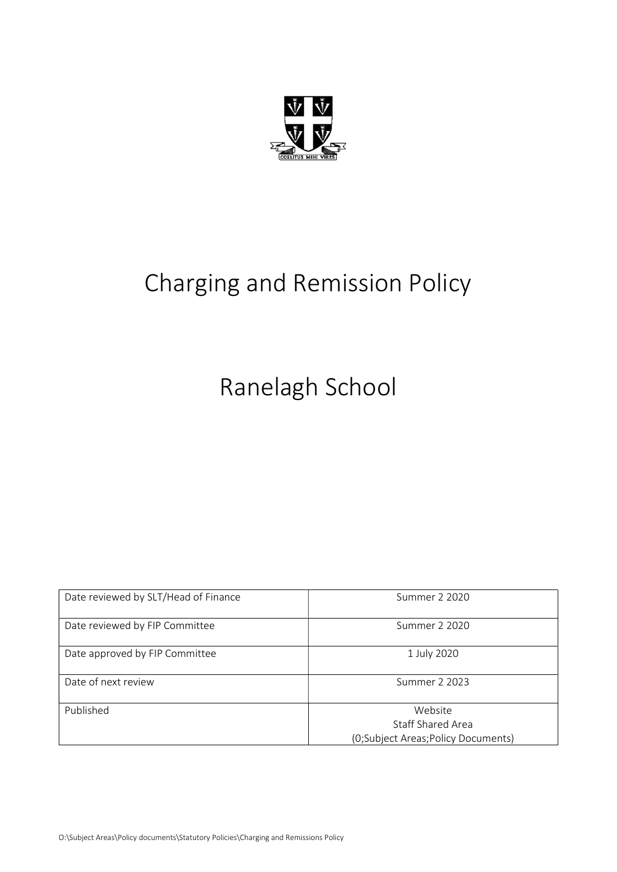

# Charging and Remission Policy

Ranelagh School

| Date reviewed by SLT/Head of Finance | Summer 2 2020                      |
|--------------------------------------|------------------------------------|
| Date reviewed by FIP Committee       | Summer 2 2020                      |
| Date approved by FIP Committee       | 1 July 2020                        |
| Date of next review                  | Summer 2 2023                      |
| Published                            | Website                            |
|                                      | Staff Shared Area                  |
|                                      | (0;Subject Areas;Policy Documents) |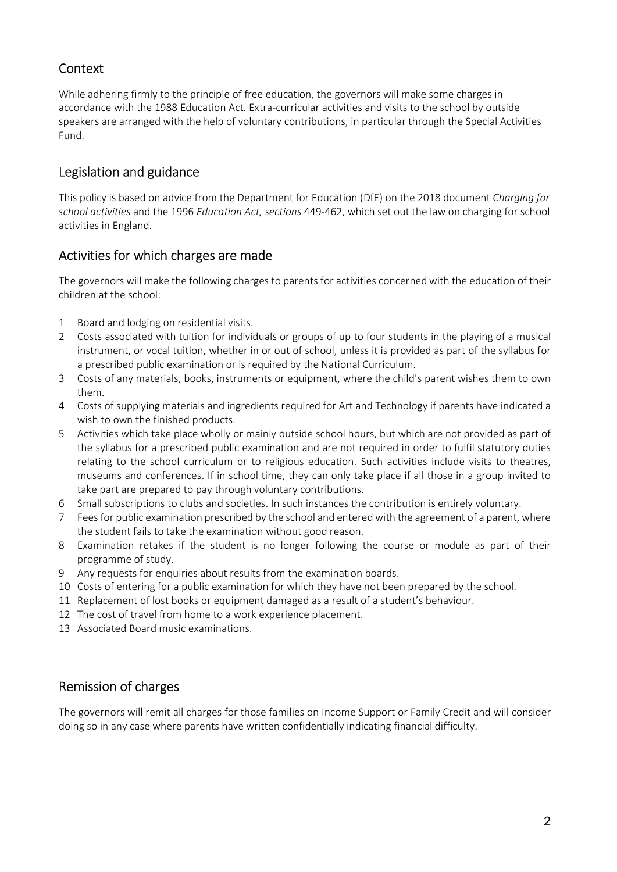# **Context**

While adhering firmly to the principle of free education, the governors will make some charges in accordance with the 1988 Education Act. Extra-curricular activities and visits to the school by outside speakers are arranged with the help of voluntary contributions, in particular through the Special Activities Fund.

# Legislation and guidance

This policy is based on advice from the Department for Education (DfE) on the 2018 document Charging for school activities and the 1996 Education Act, sections 449-462, which set out the law on charging for school activities in England.

## Activities for which charges are made

The governors will make the following charges to parents for activities concerned with the education of their children at the school:

- 1 Board and lodging on residential visits.
- 2 Costs associated with tuition for individuals or groups of up to four students in the playing of a musical instrument, or vocal tuition, whether in or out of school, unless it is provided as part of the syllabus for a prescribed public examination or is required by the National Curriculum.
- 3 Costs of any materials, books, instruments or equipment, where the child's parent wishes them to own them.
- 4 Costs of supplying materials and ingredients required for Art and Technology if parents have indicated a wish to own the finished products.
- 5 Activities which take place wholly or mainly outside school hours, but which are not provided as part of the syllabus for a prescribed public examination and are not required in order to fulfil statutory duties relating to the school curriculum or to religious education. Such activities include visits to theatres, museums and conferences. If in school time, they can only take place if all those in a group invited to take part are prepared to pay through voluntary contributions.
- 6 Small subscriptions to clubs and societies. In such instances the contribution is entirely voluntary.
- 7 Fees for public examination prescribed by the school and entered with the agreement of a parent, where the student fails to take the examination without good reason.
- 8 Examination retakes if the student is no longer following the course or module as part of their programme of study.
- 9 Any requests for enquiries about results from the examination boards.
- 10 Costs of entering for a public examination for which they have not been prepared by the school.
- 11 Replacement of lost books or equipment damaged as a result of a student's behaviour.
- 12 The cost of travel from home to a work experience placement.
- 13 Associated Board music examinations.

## Remission of charges

The governors will remit all charges for those families on Income Support or Family Credit and will consider doing so in any case where parents have written confidentially indicating financial difficulty.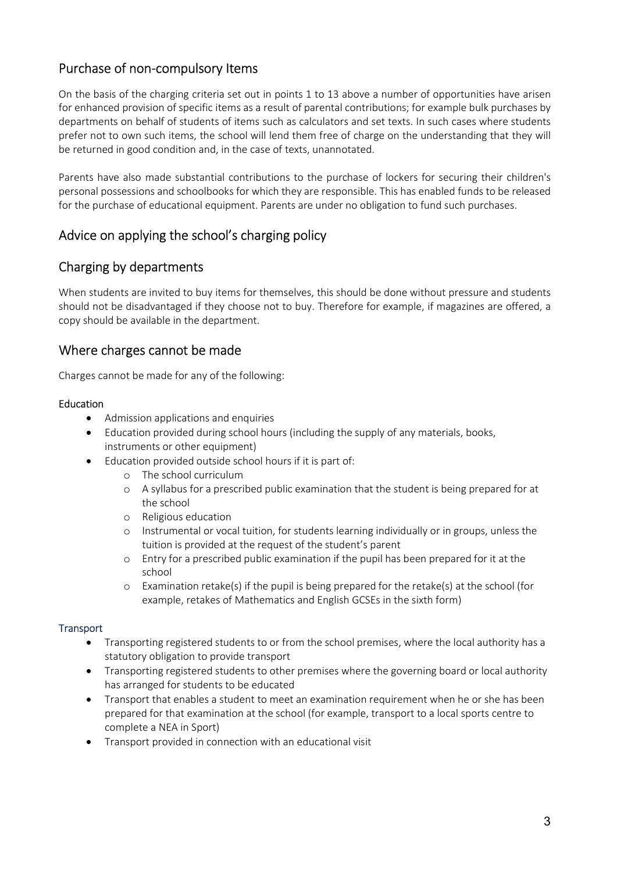# Purchase of non-compulsory Items

On the basis of the charging criteria set out in points 1 to 13 above a number of opportunities have arisen for enhanced provision of specific items as a result of parental contributions; for example bulk purchases by departments on behalf of students of items such as calculators and set texts. In such cases where students prefer not to own such items, the school will lend them free of charge on the understanding that they will be returned in good condition and, in the case of texts, unannotated.

Parents have also made substantial contributions to the purchase of lockers for securing their children's personal possessions and schoolbooks for which they are responsible. This has enabled funds to be released for the purchase of educational equipment. Parents are under no obligation to fund such purchases.

# Advice on applying the school's charging policy

## Charging by departments

When students are invited to buy items for themselves, this should be done without pressure and students should not be disadvantaged if they choose not to buy. Therefore for example, if magazines are offered, a copy should be available in the department.

## Where charges cannot be made

Charges cannot be made for any of the following:

#### Education

- Admission applications and enquiries
- Education provided during school hours (including the supply of any materials, books, instruments or other equipment)
- Education provided outside school hours if it is part of:
	- o The school curriculum
	- o A syllabus for a prescribed public examination that the student is being prepared for at the school
	- o Religious education
	- o Instrumental or vocal tuition, for students learning individually or in groups, unless the tuition is provided at the request of the student's parent
	- o Entry for a prescribed public examination if the pupil has been prepared for it at the school
	- $\circ$  Examination retake(s) if the pupil is being prepared for the retake(s) at the school (for example, retakes of Mathematics and English GCSEs in the sixth form)

#### **Transport**

- Transporting registered students to or from the school premises, where the local authority has a statutory obligation to provide transport
- Transporting registered students to other premises where the governing board or local authority has arranged for students to be educated
- Transport that enables a student to meet an examination requirement when he or she has been prepared for that examination at the school (for example, transport to a local sports centre to complete a NEA in Sport)
- Transport provided in connection with an educational visit